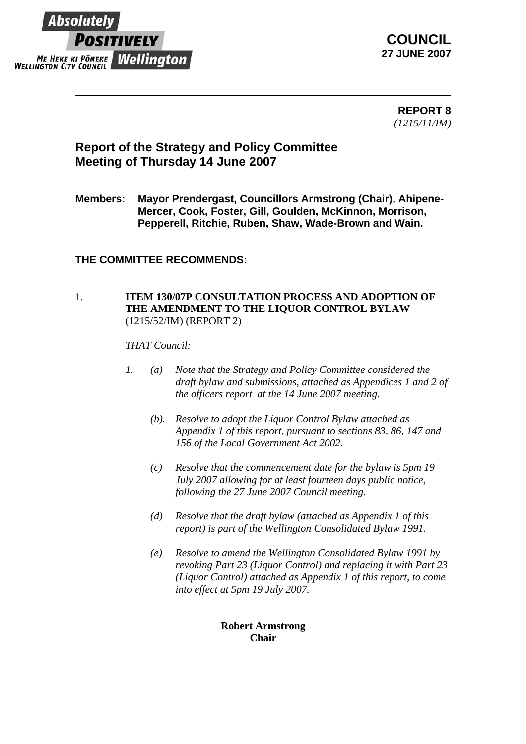

**COUNCIL 27 JUNE 2007**

> **REPORT 8** *(1215/11/IM)*

# **Report of the Strategy and Policy Committee Meeting of Thursday 14 June 2007**

**Members: Mayor Prendergast, Councillors Armstrong (Chair), Ahipene-Mercer, Cook, Foster, Gill, Goulden, McKinnon, Morrison, Pepperell, Ritchie, Ruben, Shaw, Wade-Brown and Wain.** 

## **THE COMMITTEE RECOMMENDS:**

#### 1. **ITEM 130/07P CONSULTATION PROCESS AND ADOPTION OF THE AMENDMENT TO THE LIQUOR CONTROL BYLAW** (1215/52/IM) (REPORT 2)

*THAT Council:*

- *1. (a) Note that the Strategy and Policy Committee considered the draft bylaw and submissions, attached as Appendices 1 and 2 of the officers report at the 14 June 2007 meeting.* 
	- *(b). Resolve to adopt the Liquor Control Bylaw attached as Appendix 1 of this report, pursuant to sections 83, 86, 147 and 156 of the Local Government Act 2002.*
	- *(c) Resolve that the commencement date for the bylaw is 5pm 19 July 2007 allowing for at least fourteen days public notice, following the 27 June 2007 Council meeting.*
	- *(d) Resolve that the draft bylaw (attached as Appendix 1 of this report) is part of the Wellington Consolidated Bylaw 1991.*
	- *(e) Resolve to amend the Wellington Consolidated Bylaw 1991 by revoking Part 23 (Liquor Control) and replacing it with Part 23 (Liquor Control) attached as Appendix 1 of this report, to come into effect at 5pm 19 July 2007.*

### **Robert Armstrong Chair**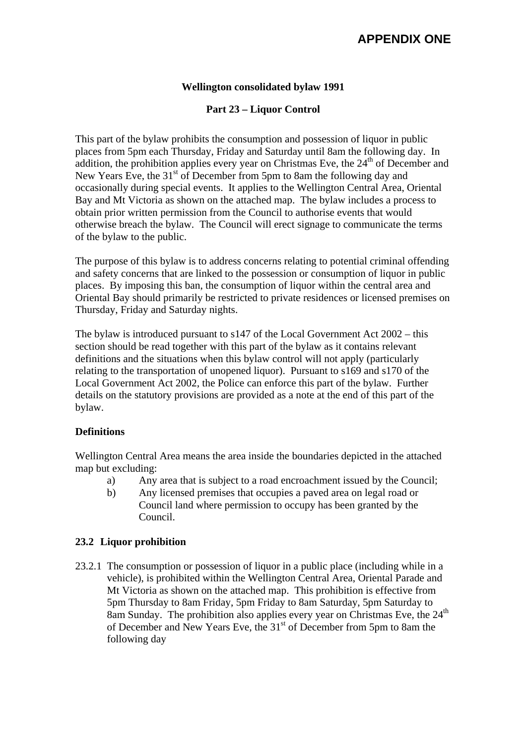### **Wellington consolidated bylaw 1991**

## **Part 23 – Liquor Control**

This part of the bylaw prohibits the consumption and possession of liquor in public places from 5pm each Thursday, Friday and Saturday until 8am the following day. In addition, the prohibition applies every year on Christmas Eve, the  $24<sup>th</sup>$  of December and New Years Eve, the  $31<sup>st</sup>$  of December from 5pm to 8am the following day and occasionally during special events. It applies to the Wellington Central Area, Oriental Bay and Mt Victoria as shown on the attached map. The bylaw includes a process to obtain prior written permission from the Council to authorise events that would otherwise breach the bylaw. The Council will erect signage to communicate the terms of the bylaw to the public.

The purpose of this bylaw is to address concerns relating to potential criminal offending and safety concerns that are linked to the possession or consumption of liquor in public places. By imposing this ban, the consumption of liquor within the central area and Oriental Bay should primarily be restricted to private residences or licensed premises on Thursday, Friday and Saturday nights.

The bylaw is introduced pursuant to  $s147$  of the Local Government Act  $2002 - this$ section should be read together with this part of the bylaw as it contains relevant definitions and the situations when this bylaw control will not apply (particularly relating to the transportation of unopened liquor). Pursuant to s169 and s170 of the Local Government Act 2002, the Police can enforce this part of the bylaw. Further details on the statutory provisions are provided as a note at the end of this part of the bylaw.

### **Definitions**

Wellington Central Area means the area inside the boundaries depicted in the attached map but excluding:

- a) Any area that is subject to a road encroachment issued by the Council;
- b) Any licensed premises that occupies a paved area on legal road or Council land where permission to occupy has been granted by the Council.

### **23.2 Liquor prohibition**

23.2.1 The consumption or possession of liquor in a public place (including while in a vehicle), is prohibited within the Wellington Central Area, Oriental Parade and Mt Victoria as shown on the attached map. This prohibition is effective from 5pm Thursday to 8am Friday, 5pm Friday to 8am Saturday, 5pm Saturday to 8am Sunday. The prohibition also applies every year on Christmas Eve, the  $24<sup>th</sup>$ of December and New Years Eve, the 31<sup>st</sup> of December from 5pm to 8am the following day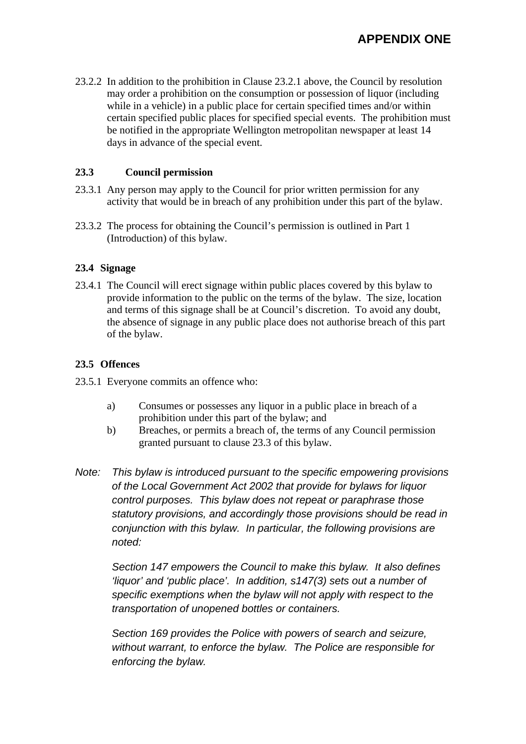23.2.2 In addition to the prohibition in Clause 23.2.1 above, the Council by resolution may order a prohibition on the consumption or possession of liquor (including while in a vehicle) in a public place for certain specified times and/or within certain specified public places for specified special events. The prohibition must be notified in the appropriate Wellington metropolitan newspaper at least 14 days in advance of the special event.

### **23.3 Council permission**

- 23.3.1 Any person may apply to the Council for prior written permission for any activity that would be in breach of any prohibition under this part of the bylaw.
- 23.3.2 The process for obtaining the Council's permission is outlined in Part 1 (Introduction) of this bylaw.

### **23.4 Signage**

23.4.1 The Council will erect signage within public places covered by this bylaw to provide information to the public on the terms of the bylaw. The size, location and terms of this signage shall be at Council's discretion. To avoid any doubt, the absence of signage in any public place does not authorise breach of this part of the bylaw.

## **23.5 Offences**

- 23.5.1 Everyone commits an offence who:
	- a) Consumes or possesses any liquor in a public place in breach of a prohibition under this part of the bylaw; and
	- b) Breaches, or permits a breach of, the terms of any Council permission granted pursuant to clause 23.3 of this bylaw.
- *Note: This bylaw is introduced pursuant to the specific empowering provisions of the Local Government Act 2002 that provide for bylaws for liquor control purposes. This bylaw does not repeat or paraphrase those statutory provisions, and accordingly those provisions should be read in conjunction with this bylaw. In particular, the following provisions are noted:*

 *Section 147 empowers the Council to make this bylaw. It also defines 'liquor' and 'public place'. In addition, s147(3) sets out a number of specific exemptions when the bylaw will not apply with respect to the transportation of unopened bottles or containers.* 

 *Section 169 provides the Police with powers of search and seizure, without warrant, to enforce the bylaw. The Police are responsible for enforcing the bylaw.*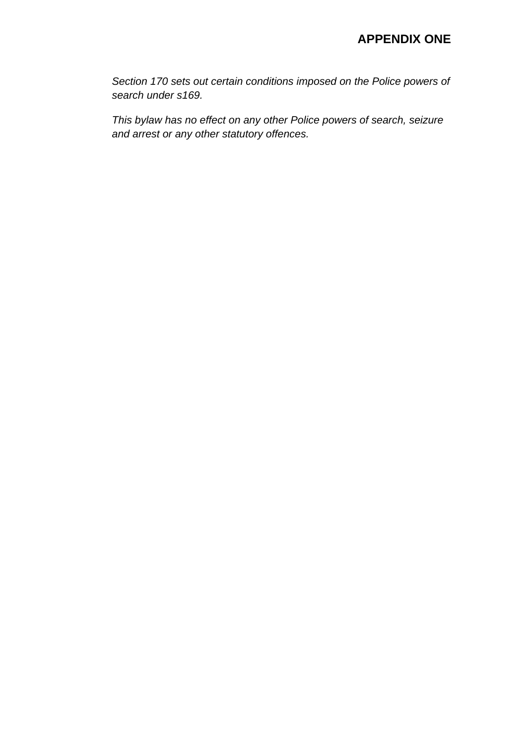*Section 170 sets out certain conditions imposed on the Police powers of search under s169.* 

 *This bylaw has no effect on any other Police powers of search, seizure and arrest or any other statutory offences.*